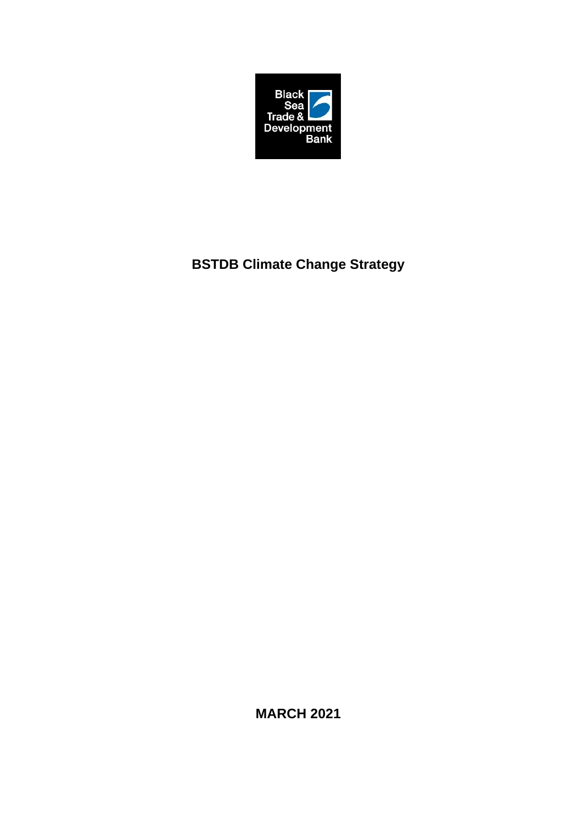

# **BSTDB Climate Change Strategy**

**MARCH 2021**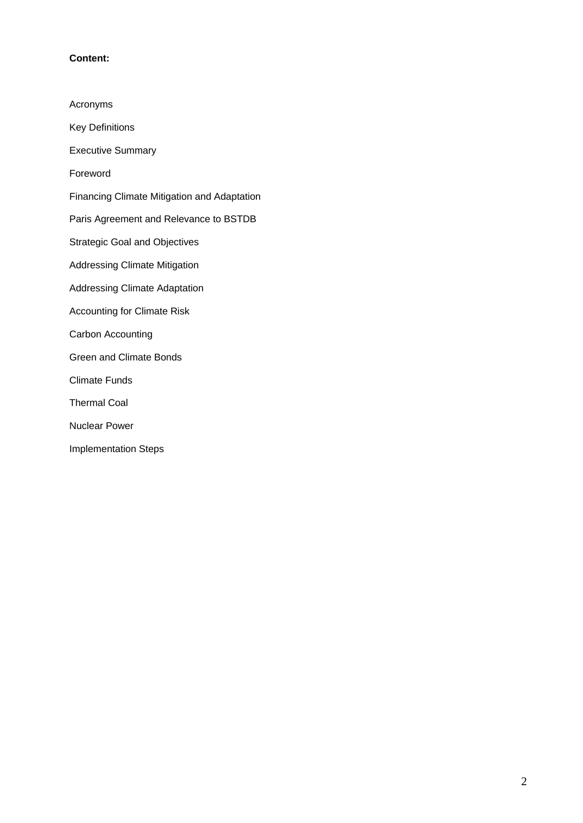# **Content:**

| Acronyms                                           |
|----------------------------------------------------|
| <b>Key Definitions</b>                             |
| <b>Executive Summary</b>                           |
| Foreword                                           |
| <b>Financing Climate Mitigation and Adaptation</b> |
| Paris Agreement and Relevance to BSTDB             |
| <b>Strategic Goal and Objectives</b>               |
| <b>Addressing Climate Mitigation</b>               |
| <b>Addressing Climate Adaptation</b>               |
| <b>Accounting for Climate Risk</b>                 |
| Carbon Accounting                                  |
| <b>Green and Climate Bonds</b>                     |
| Climate Funds                                      |
| <b>Thermal Coal</b>                                |
| Nuclear Power                                      |
| <b>Implementation Steps</b>                        |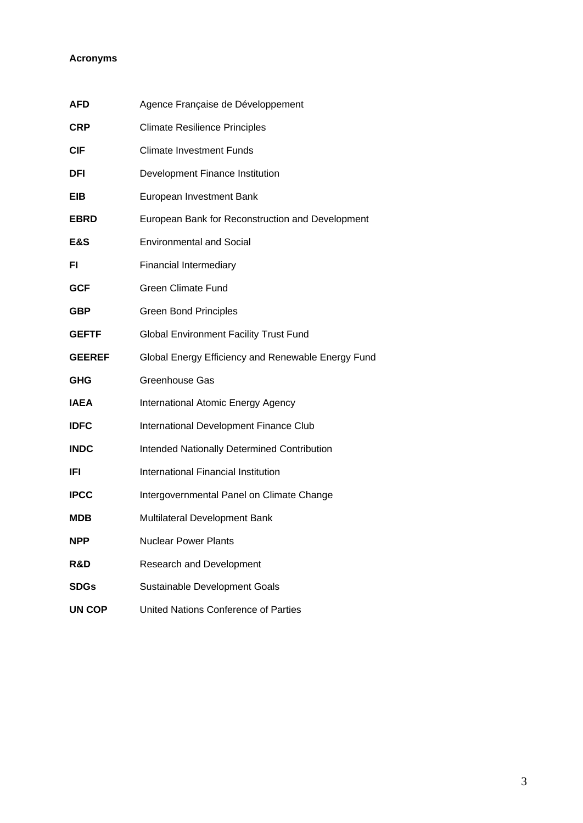# **Acronyms**

| <b>AFD</b>    | Agence Française de Développement                  |
|---------------|----------------------------------------------------|
| <b>CRP</b>    | <b>Climate Resilience Principles</b>               |
| <b>CIF</b>    | <b>Climate Investment Funds</b>                    |
| <b>DFI</b>    | Development Finance Institution                    |
| EIB           | European Investment Bank                           |
| <b>EBRD</b>   | European Bank for Reconstruction and Development   |
| E&S           | <b>Environmental and Social</b>                    |
| FI.           | <b>Financial Intermediary</b>                      |
| <b>GCF</b>    | <b>Green Climate Fund</b>                          |
| <b>GBP</b>    | <b>Green Bond Principles</b>                       |
| <b>GEFTF</b>  | <b>Global Environment Facility Trust Fund</b>      |
| <b>GEEREF</b> | Global Energy Efficiency and Renewable Energy Fund |
| <b>GHG</b>    | <b>Greenhouse Gas</b>                              |
| <b>IAEA</b>   | International Atomic Energy Agency                 |
| <b>IDFC</b>   | International Development Finance Club             |
| <b>INDC</b>   | Intended Nationally Determined Contribution        |
| <b>IFI</b>    | International Financial Institution                |
| <b>IPCC</b>   | Intergovernmental Panel on Climate Change          |
| <b>MDB</b>    | Multilateral Development Bank                      |
| <b>NPP</b>    | <b>Nuclear Power Plants</b>                        |
| R&D           | <b>Research and Development</b>                    |
| <b>SDGs</b>   | Sustainable Development Goals                      |
| <b>UN COP</b> | United Nations Conference of Parties               |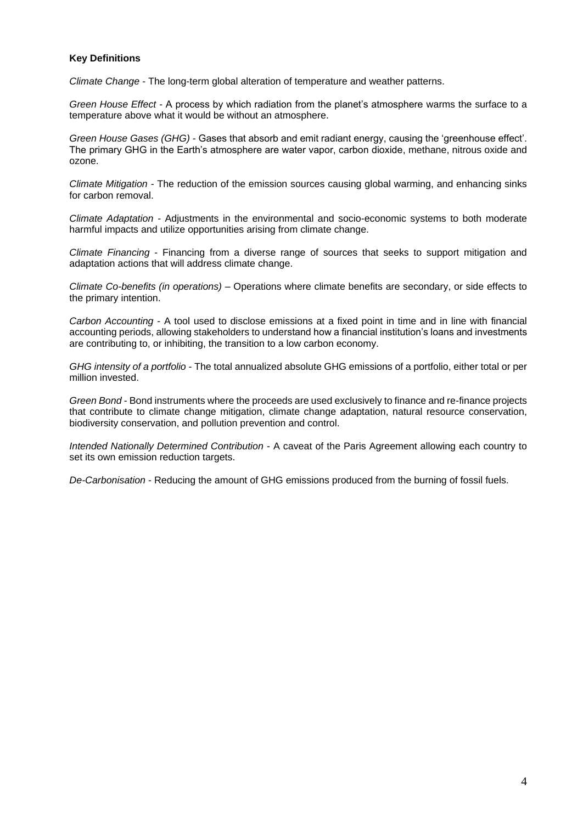#### **Key Definitions**

*Climate Change -* The long-term global alteration of temperature and weather patterns.

*Green House Effect -* A process by which radiation from the planet's atmosphere warms the surface to a temperature above what it would be without an atmosphere.

*Green House Gases (GHG)* - Gases that absorb and emit radiant energy, causing the 'greenhouse effect'. The primary GHG in the Earth's atmosphere are water vapor, carbon dioxide, methane, nitrous oxide and ozone.

*Climate Mitigation -* The reduction of the emission sources causing global warming, and enhancing sinks for carbon removal.

*Climate Adaptation -* Adjustments in the environmental and socio-economic systems to both moderate harmful impacts and utilize opportunities arising from climate change.

*Climate Financing* - Financing from a diverse range of sources that seeks to support mitigation and adaptation actions that will address climate change.

*Climate Co-benefits (in operations) –* Operations where climate benefits are secondary, or side effects to the primary intention.

*Carbon Accounting* - A tool used to disclose emissions at a fixed point in time and in line with financial accounting periods, allowing stakeholders to understand how a financial institution's loans and investments are contributing to, or inhibiting, the transition to a low carbon economy.

*GHG intensity of a portfolio* - The total annualized absolute GHG emissions of a portfolio, either total or per million invested.

*Green Bond* - Bond instruments where the proceeds are used exclusively to finance and re-finance projects that contribute to climate change mitigation, climate change adaptation, natural resource conservation, biodiversity conservation, and pollution prevention and control.

*Intended Nationally Determined Contribution* - A caveat of the Paris Agreement allowing each country to set its own emission reduction targets.

*De-Carbonisation* - Reducing the amount of GHG emissions produced from the burning of fossil fuels.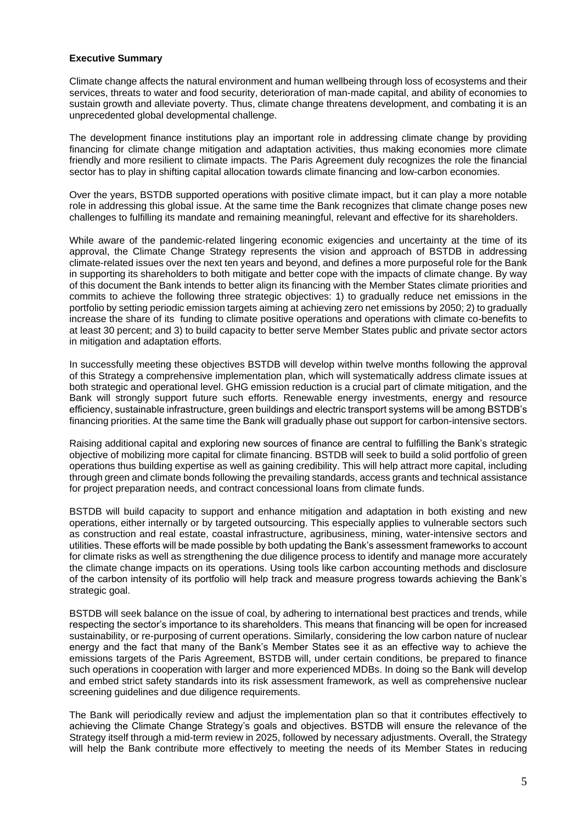#### **Executive Summary**

Climate change affects the natural environment and human wellbeing through loss of ecosystems and their services, threats to water and food security, deterioration of man-made capital, and ability of economies to sustain growth and alleviate poverty. Thus, climate change threatens development, and combating it is an unprecedented global developmental challenge.

The development finance institutions play an important role in addressing climate change by providing financing for climate change mitigation and adaptation activities, thus making economies more climate friendly and more resilient to climate impacts. The Paris Agreement duly recognizes the role the financial sector has to play in shifting capital allocation towards climate financing and low-carbon economies.

Over the years, BSTDB supported operations with positive climate impact, but it can play a more notable role in addressing this global issue. At the same time the Bank recognizes that climate change poses new challenges to fulfilling its mandate and remaining meaningful, relevant and effective for its shareholders.

While aware of the pandemic-related lingering economic exigencies and uncertainty at the time of its approval, the Climate Change Strategy represents the vision and approach of BSTDB in addressing climate-related issues over the next ten years and beyond, and defines a more purposeful role for the Bank in supporting its shareholders to both mitigate and better cope with the impacts of climate change. By way of this document the Bank intends to better align its financing with the Member States climate priorities and commits to achieve the following three strategic objectives: 1) to gradually reduce net emissions in the portfolio by setting periodic emission targets aiming at achieving zero net emissions by 2050; 2) to gradually increase the share of its funding to climate positive operations and operations with climate co-benefits to at least 30 percent; and 3) to build capacity to better serve Member States public and private sector actors in mitigation and adaptation efforts.

In successfully meeting these objectives BSTDB will develop within twelve months following the approval of this Strategy a comprehensive implementation plan, which will systematically address climate issues at both strategic and operational level. GHG emission reduction is a crucial part of climate mitigation, and the Bank will strongly support future such efforts. Renewable energy investments, energy and resource efficiency, sustainable infrastructure, green buildings and electric transport systems will be among BSTDB's financing priorities. At the same time the Bank will gradually phase out support for carbon-intensive sectors.

Raising additional capital and exploring new sources of finance are central to fulfilling the Bank's strategic objective of mobilizing more capital for climate financing. BSTDB will seek to build a solid portfolio of green operations thus building expertise as well as gaining credibility. This will help attract more capital, including through green and climate bonds following the prevailing standards, access grants and technical assistance for project preparation needs, and contract concessional loans from climate funds.

BSTDB will build capacity to support and enhance mitigation and adaptation in both existing and new operations, either internally or by targeted outsourcing. This especially applies to vulnerable sectors such as construction and real estate, coastal infrastructure, agribusiness, mining, water-intensive sectors and utilities. These efforts will be made possible by both updating the Bank's assessment frameworks to account for climate risks as well as strengthening the due diligence process to identify and manage more accurately the climate change impacts on its operations. Using tools like carbon accounting methods and disclosure of the carbon intensity of its portfolio will help track and measure progress towards achieving the Bank's strategic goal.

BSTDB will seek balance on the issue of coal, by adhering to international best practices and trends, while respecting the sector's importance to its shareholders. This means that financing will be open for increased sustainability, or re-purposing of current operations. Similarly, considering the low carbon nature of nuclear energy and the fact that many of the Bank's Member States see it as an effective way to achieve the emissions targets of the Paris Agreement, BSTDB will, under certain conditions, be prepared to finance such operations in cooperation with larger and more experienced MDBs. In doing so the Bank will develop and embed strict safety standards into its risk assessment framework, as well as comprehensive nuclear screening guidelines and due diligence requirements.

The Bank will periodically review and adjust the implementation plan so that it contributes effectively to achieving the Climate Change Strategy's goals and objectives. BSTDB will ensure the relevance of the Strategy itself through a mid-term review in 2025, followed by necessary adjustments. Overall, the Strategy will help the Bank contribute more effectively to meeting the needs of its Member States in reducing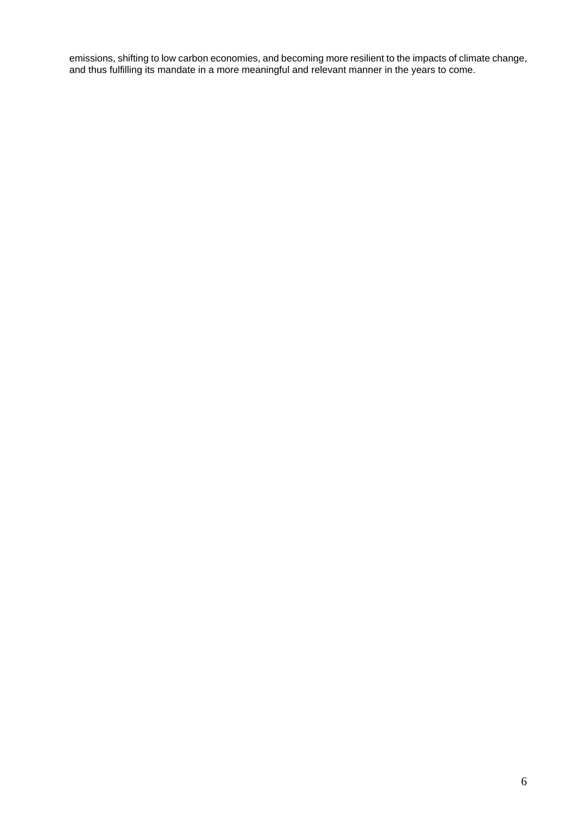emissions, shifting to low carbon economies, and becoming more resilient to the impacts of climate change, and thus fulfilling its mandate in a more meaningful and relevant manner in the years to come.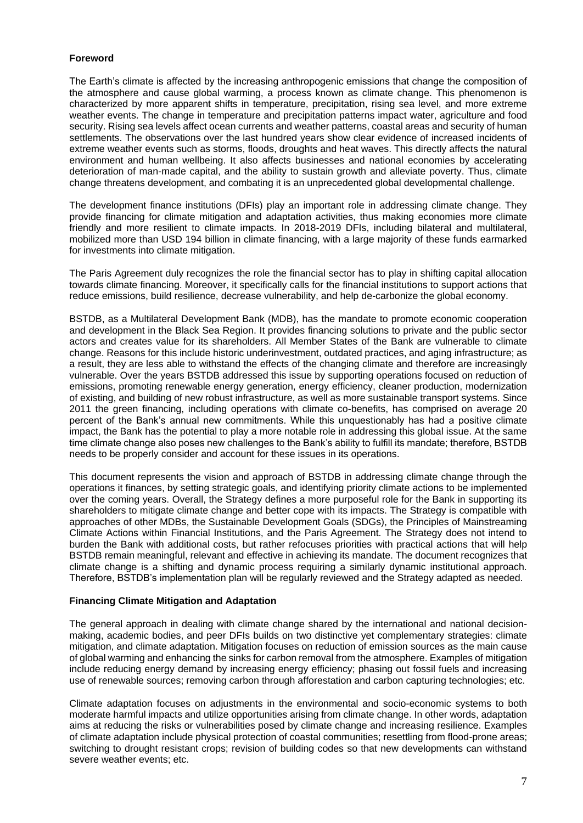# **Foreword**

The Earth's climate is affected by the increasing anthropogenic emissions that change the composition of the atmosphere and cause global warming, a process known as climate change. This phenomenon is characterized by more apparent shifts in temperature, precipitation, rising sea level, and more extreme weather events. The change in temperature and precipitation patterns impact water, agriculture and food security. Rising sea levels affect ocean currents and weather patterns, coastal areas and security of human settlements. The observations over the last hundred years show clear evidence of increased incidents of extreme weather events such as storms, floods, droughts and heat waves. This directly affects the natural environment and human wellbeing. It also affects businesses and national economies by accelerating deterioration of man-made capital, and the ability to sustain growth and alleviate poverty. Thus, climate change threatens development, and combating it is an unprecedented global developmental challenge.

The development finance institutions (DFIs) play an important role in addressing climate change. They provide financing for climate mitigation and adaptation activities, thus making economies more climate friendly and more resilient to climate impacts. In 2018-2019 DFIs, including bilateral and multilateral, mobilized more than USD 194 billion in climate financing, with a large majority of these funds earmarked for investments into climate mitigation.

The Paris Agreement duly recognizes the role the financial sector has to play in shifting capital allocation towards climate financing. Moreover, it specifically calls for the financial institutions to support actions that reduce emissions, build resilience, decrease vulnerability, and help de-carbonize the global economy.

BSTDB, as a Multilateral Development Bank (MDB), has the mandate to promote economic cooperation and development in the Black Sea Region. It provides financing solutions to private and the public sector actors and creates value for its shareholders. All Member States of the Bank are vulnerable to climate change. Reasons for this include historic underinvestment, outdated practices, and aging infrastructure; as a result, they are less able to withstand the effects of the changing climate and therefore are increasingly vulnerable. Over the years BSTDB addressed this issue by supporting operations focused on reduction of emissions, promoting renewable energy generation, energy efficiency, cleaner production, modernization of existing, and building of new robust infrastructure, as well as more sustainable transport systems. Since 2011 the green financing, including operations with climate co-benefits, has comprised on average 20 percent of the Bank's annual new commitments. While this unquestionably has had a positive climate impact, the Bank has the potential to play a more notable role in addressing this global issue. At the same time climate change also poses new challenges to the Bank's ability to fulfill its mandate; therefore, BSTDB needs to be properly consider and account for these issues in its operations.

This document represents the vision and approach of BSTDB in addressing climate change through the operations it finances, by setting strategic goals, and identifying priority climate actions to be implemented over the coming years. Overall, the Strategy defines a more purposeful role for the Bank in supporting its shareholders to mitigate climate change and better cope with its impacts. The Strategy is compatible with approaches of other MDBs, the Sustainable Development Goals (SDGs), the Principles of Mainstreaming Climate Actions within Financial Institutions, and the Paris Agreement. The Strategy does not intend to burden the Bank with additional costs, but rather refocuses priorities with practical actions that will help BSTDB remain meaningful, relevant and effective in achieving its mandate. The document recognizes that climate change is a shifting and dynamic process requiring a similarly dynamic institutional approach. Therefore, BSTDB's implementation plan will be regularly reviewed and the Strategy adapted as needed.

#### **Financing Climate Mitigation and Adaptation**

The general approach in dealing with climate change shared by the international and national decisionmaking, academic bodies, and peer DFIs builds on two distinctive yet complementary strategies: climate mitigation, and climate adaptation. Mitigation focuses on reduction of emission sources as the main cause of global warming and enhancing the sinks for carbon removal from the atmosphere. Examples of mitigation include reducing energy demand by increasing energy efficiency; phasing out fossil fuels and increasing use of renewable sources; removing carbon through afforestation and carbon capturing technologies; etc.

Climate adaptation focuses on adjustments in the environmental and socio-economic systems to both moderate harmful impacts and utilize opportunities arising from climate change. In other words, adaptation aims at reducing the risks or vulnerabilities posed by climate change and increasing resilience. Examples of climate adaptation include physical protection of coastal communities; resettling from flood-prone areas; switching to drought resistant crops; revision of building codes so that new developments can withstand severe weather events; etc.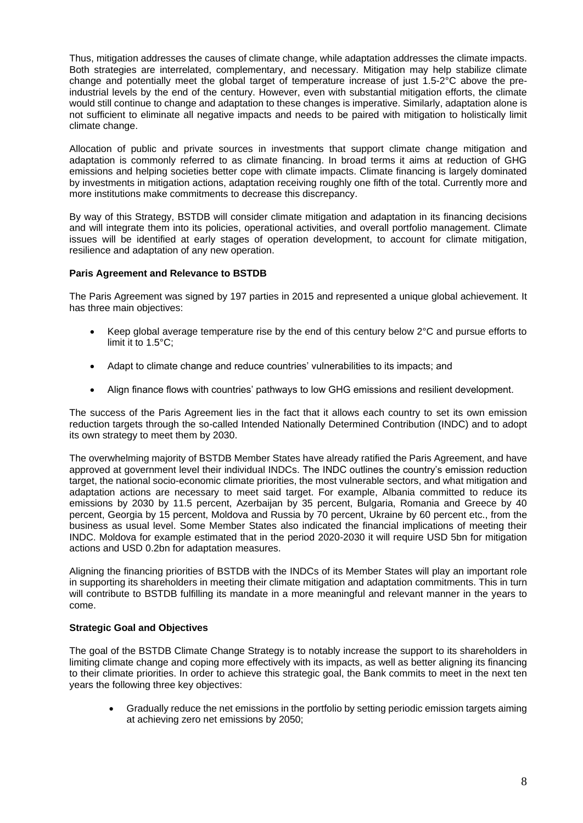Thus, mitigation addresses the causes of climate change, while adaptation addresses the climate impacts. Both strategies are interrelated, complementary, and necessary. Mitigation may help stabilize climate change and potentially meet the global target of temperature increase of just 1.5-2°C above the preindustrial levels by the end of the century. However, even with substantial mitigation efforts, the climate would still continue to change and adaptation to these changes is imperative. Similarly, adaptation alone is not sufficient to eliminate all negative impacts and needs to be paired with mitigation to holistically limit climate change.

Allocation of public and private sources in investments that support climate change mitigation and adaptation is commonly referred to as climate financing. In broad terms it aims at reduction of GHG emissions and helping societies better cope with climate impacts. Climate financing is largely dominated by investments in mitigation actions, adaptation receiving roughly one fifth of the total. Currently more and more institutions make commitments to decrease this discrepancy.

By way of this Strategy, BSTDB will consider climate mitigation and adaptation in its financing decisions and will integrate them into its policies, operational activities, and overall portfolio management. Climate issues will be identified at early stages of operation development, to account for climate mitigation, resilience and adaptation of any new operation.

#### **Paris Agreement and Relevance to BSTDB**

The Paris Agreement was signed by 197 parties in 2015 and represented a unique global achievement. It has three main objectives:

- Keep global average temperature rise by the end of this century below 2°C and pursue efforts to limit it to 1.5°C;
- Adapt to climate change and reduce countries' vulnerabilities to its impacts; and
- Align finance flows with countries' pathways to low GHG emissions and resilient development.

The success of the Paris Agreement lies in the fact that it allows each country to set its own emission reduction targets through the so-called Intended Nationally Determined Contribution (INDC) and to adopt its own strategy to meet them by 2030.

The overwhelming majority of BSTDB Member States have already ratified the Paris Agreement, and have approved at government level their individual INDCs. The INDC outlines the country's emission reduction target, the national socio-economic climate priorities, the most vulnerable sectors, and what mitigation and adaptation actions are necessary to meet said target. For example, Albania committed to reduce its emissions by 2030 by 11.5 percent, Azerbaijan by 35 percent, Bulgaria, Romania and Greece by 40 percent, Georgia by 15 percent, Moldova and Russia by 70 percent, Ukraine by 60 percent etc., from the business as usual level. Some Member States also indicated the financial implications of meeting their INDC. Moldova for example estimated that in the period 2020-2030 it will require USD 5bn for mitigation actions and USD 0.2bn for adaptation measures.

Aligning the financing priorities of BSTDB with the INDCs of its Member States will play an important role in supporting its shareholders in meeting their climate mitigation and adaptation commitments. This in turn will contribute to BSTDB fulfilling its mandate in a more meaningful and relevant manner in the years to come.

#### **Strategic Goal and Objectives**

The goal of the BSTDB Climate Change Strategy is to notably increase the support to its shareholders in limiting climate change and coping more effectively with its impacts, as well as better aligning its financing to their climate priorities. In order to achieve this strategic goal, the Bank commits to meet in the next ten years the following three key objectives:

• Gradually reduce the net emissions in the portfolio by setting periodic emission targets aiming at achieving zero net emissions by 2050;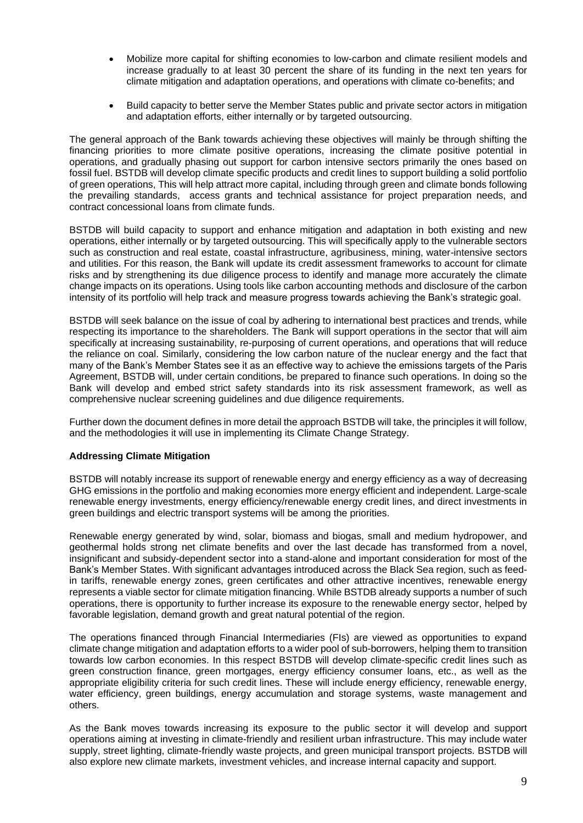- Mobilize more capital for shifting economies to low-carbon and climate resilient models and increase gradually to at least 30 percent the share of its funding in the next ten years for climate mitigation and adaptation operations, and operations with climate co-benefits; and
- Build capacity to better serve the Member States public and private sector actors in mitigation and adaptation efforts, either internally or by targeted outsourcing.

The general approach of the Bank towards achieving these objectives will mainly be through shifting the financing priorities to more climate positive operations, increasing the climate positive potential in operations, and gradually phasing out support for carbon intensive sectors primarily the ones based on fossil fuel. BSTDB will develop climate specific products and credit lines to support building a solid portfolio of green operations, This will help attract more capital, including through green and climate bonds following the prevailing standards, access grants and technical assistance for project preparation needs, and contract concessional loans from climate funds.

BSTDB will build capacity to support and enhance mitigation and adaptation in both existing and new operations, either internally or by targeted outsourcing. This will specifically apply to the vulnerable sectors such as construction and real estate, coastal infrastructure, agribusiness, mining, water-intensive sectors and utilities. For this reason, the Bank will update its credit assessment frameworks to account for climate risks and by strengthening its due diligence process to identify and manage more accurately the climate change impacts on its operations. Using tools like carbon accounting methods and disclosure of the carbon intensity of its portfolio will help track and measure progress towards achieving the Bank's strategic goal.

BSTDB will seek balance on the issue of coal by adhering to international best practices and trends, while respecting its importance to the shareholders. The Bank will support operations in the sector that will aim specifically at increasing sustainability, re-purposing of current operations, and operations that will reduce the reliance on coal. Similarly, considering the low carbon nature of the nuclear energy and the fact that many of the Bank's Member States see it as an effective way to achieve the emissions targets of the Paris Agreement, BSTDB will, under certain conditions, be prepared to finance such operations. In doing so the Bank will develop and embed strict safety standards into its risk assessment framework, as well as comprehensive nuclear screening guidelines and due diligence requirements.

Further down the document defines in more detail the approach BSTDB will take, the principles it will follow, and the methodologies it will use in implementing its Climate Change Strategy.

#### **Addressing Climate Mitigation**

BSTDB will notably increase its support of renewable energy and energy efficiency as a way of decreasing GHG emissions in the portfolio and making economies more energy efficient and independent. Large-scale renewable energy investments, energy efficiency/renewable energy credit lines, and direct investments in green buildings and electric transport systems will be among the priorities.

Renewable energy generated by wind, solar, biomass and biogas, small and medium hydropower, and geothermal holds strong net climate benefits and over the last decade has transformed from a novel, insignificant and subsidy-dependent sector into a stand-alone and important consideration for most of the Bank's Member States. With significant advantages introduced across the Black Sea region, such as feedin tariffs, renewable energy zones, green certificates and other attractive incentives, renewable energy represents a viable sector for climate mitigation financing. While BSTDB already supports a number of such operations, there is opportunity to further increase its exposure to the renewable energy sector, helped by favorable legislation, demand growth and great natural potential of the region.

The operations financed through Financial Intermediaries (FIs) are viewed as opportunities to expand climate change mitigation and adaptation efforts to a wider pool of sub-borrowers, helping them to transition towards low carbon economies. In this respect BSTDB will develop climate-specific credit lines such as green construction finance, green mortgages, energy efficiency consumer loans, etc., as well as the appropriate eligibility criteria for such credit lines. These will include energy efficiency, renewable energy, water efficiency, green buildings, energy accumulation and storage systems, waste management and others.

As the Bank moves towards increasing its exposure to the public sector it will develop and support operations aiming at investing in climate-friendly and resilient urban infrastructure. This may include water supply, street lighting, climate-friendly waste projects, and green municipal transport projects. BSTDB will also explore new climate markets, investment vehicles, and increase internal capacity and support.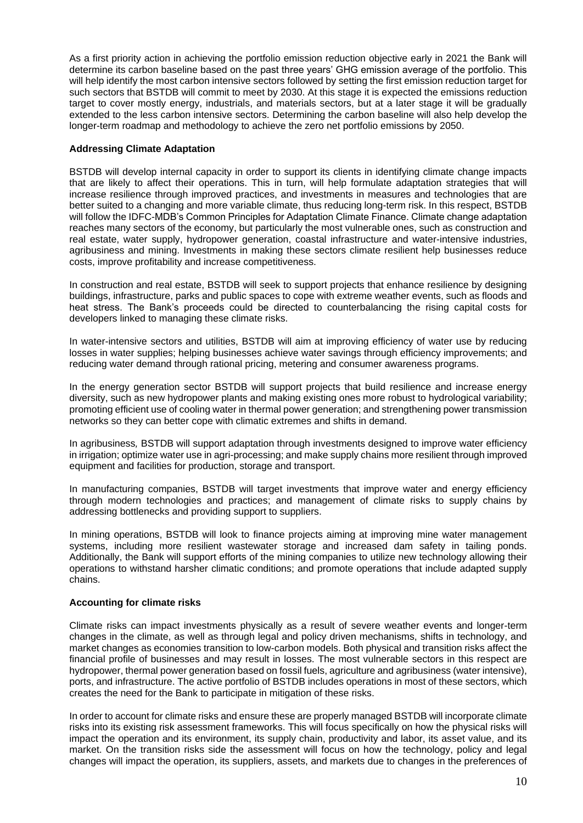As a first priority action in achieving the portfolio emission reduction objective early in 2021 the Bank will determine its carbon baseline based on the past three years' GHG emission average of the portfolio. This will help identify the most carbon intensive sectors followed by setting the first emission reduction target for such sectors that BSTDB will commit to meet by 2030. At this stage it is expected the emissions reduction target to cover mostly energy, industrials, and materials sectors, but at a later stage it will be gradually extended to the less carbon intensive sectors. Determining the carbon baseline will also help develop the longer-term roadmap and methodology to achieve the zero net portfolio emissions by 2050.

#### **Addressing Climate Adaptation**

BSTDB will develop internal capacity in order to support its clients in identifying climate change impacts that are likely to affect their operations. This in turn, will help formulate adaptation strategies that will increase resilience through improved practices, and investments in measures and technologies that are better suited to a changing and more variable climate, thus reducing long-term risk. In this respect, BSTDB will follow the IDFC-MDB's Common Principles for Adaptation Climate Finance. Climate change adaptation reaches many sectors of the economy, but particularly the most vulnerable ones, such as construction and real estate, water supply, hydropower generation, coastal infrastructure and water-intensive industries, agribusiness and mining. Investments in making these sectors climate resilient help businesses reduce costs, improve profitability and increase competitiveness.

In construction and real estate, BSTDB will seek to support projects that enhance resilience by designing buildings, infrastructure, parks and public spaces to cope with extreme weather events, such as floods and heat stress. The Bank's proceeds could be directed to counterbalancing the rising capital costs for developers linked to managing these climate risks.

In water-intensive sectors and utilities, BSTDB will aim at improving efficiency of water use by reducing losses in water supplies; helping businesses achieve water savings through efficiency improvements; and reducing water demand through rational pricing, metering and consumer awareness programs.

In the energy generation sector BSTDB will support projects that build resilience and increase energy diversity, such as new hydropower plants and making existing ones more robust to hydrological variability; promoting efficient use of cooling water in thermal power generation; and strengthening power transmission networks so they can better cope with climatic extremes and shifts in demand.

In agribusiness*,* BSTDB will support adaptation through investments designed to improve water efficiency in irrigation; optimize water use in agri-processing; and make supply chains more resilient through improved equipment and facilities for production, storage and transport.

In manufacturing companies, BSTDB will target investments that improve water and energy efficiency through modern technologies and practices; and management of climate risks to supply chains by addressing bottlenecks and providing support to suppliers.

In mining operations, BSTDB will look to finance projects aiming at improving mine water management systems, including more resilient wastewater storage and increased dam safety in tailing ponds. Additionally, the Bank will support efforts of the mining companies to utilize new technology allowing their operations to withstand harsher climatic conditions; and promote operations that include adapted supply chains.

#### **Accounting for climate risks**

Climate risks can impact investments physically as a result of severe weather events and longer-term changes in the climate, as well as through legal and policy driven mechanisms, shifts in technology, and market changes as economies transition to low-carbon models. Both physical and transition risks affect the financial profile of businesses and may result in losses. The most vulnerable sectors in this respect are hydropower, thermal power generation based on fossil fuels, agriculture and agribusiness (water intensive), ports, and infrastructure. The active portfolio of BSTDB includes operations in most of these sectors, which creates the need for the Bank to participate in mitigation of these risks.

In order to account for climate risks and ensure these are properly managed BSTDB will incorporate climate risks into its existing risk assessment frameworks. This will focus specifically on how the physical risks will impact the operation and its environment, its supply chain, productivity and labor, its asset value, and its market. On the transition risks side the assessment will focus on how the technology, policy and legal changes will impact the operation, its suppliers, assets, and markets due to changes in the preferences of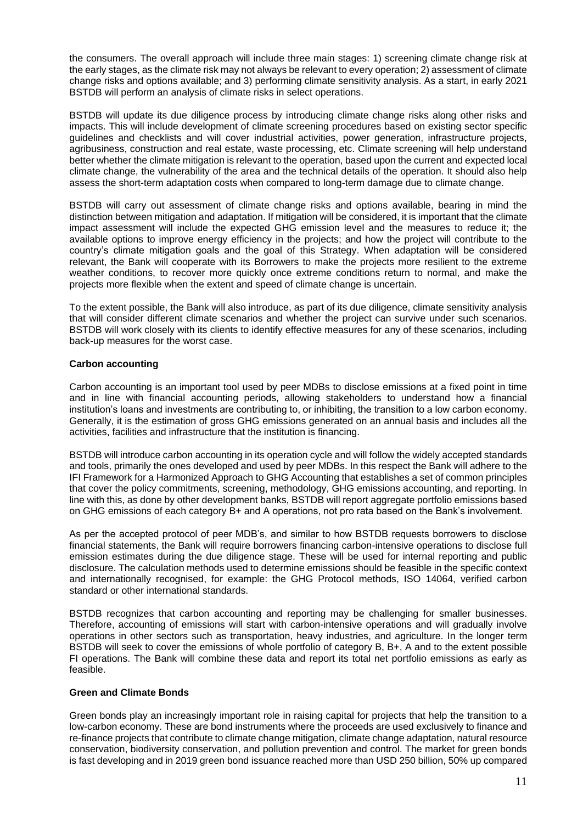the consumers. The overall approach will include three main stages: 1) screening climate change risk at the early stages, as the climate risk may not always be relevant to every operation; 2) assessment of climate change risks and options available; and 3) performing climate sensitivity analysis. As a start, in early 2021 BSTDB will perform an analysis of climate risks in select operations.

BSTDB will update its due diligence process by introducing climate change risks along other risks and impacts. This will include development of climate screening procedures based on existing sector specific guidelines and checklists and will cover industrial activities, power generation, infrastructure projects, agribusiness, construction and real estate, waste processing, etc. Climate screening will help understand better whether the climate mitigation is relevant to the operation, based upon the current and expected local climate change, the vulnerability of the area and the technical details of the operation. It should also help assess the short-term adaptation costs when compared to long-term damage due to climate change.

BSTDB will carry out assessment of climate change risks and options available, bearing in mind the distinction between mitigation and adaptation. If mitigation will be considered, it is important that the climate impact assessment will include the expected GHG emission level and the measures to reduce it; the available options to improve energy efficiency in the projects; and how the project will contribute to the country's climate mitigation goals and the goal of this Strategy. When adaptation will be considered relevant, the Bank will cooperate with its Borrowers to make the projects more resilient to the extreme weather conditions, to recover more quickly once extreme conditions return to normal, and make the projects more flexible when the extent and speed of climate change is uncertain.

To the extent possible, the Bank will also introduce, as part of its due diligence, climate sensitivity analysis that will consider different climate scenarios and whether the project can survive under such scenarios. BSTDB will work closely with its clients to identify effective measures for any of these scenarios, including back-up measures for the worst case.

#### **Carbon accounting**

Carbon accounting is an important tool used by peer MDBs to disclose emissions at a fixed point in time and in line with financial accounting periods, allowing stakeholders to understand how a financial institution's loans and investments are contributing to, or inhibiting, the transition to a low carbon economy. Generally, it is the estimation of gross GHG emissions generated on an annual basis and includes all the activities, facilities and infrastructure that the institution is financing.

BSTDB will introduce carbon accounting in its operation cycle and will follow the widely accepted standards and tools, primarily the ones developed and used by peer MDBs. In this respect the Bank will adhere to the IFI Framework for a Harmonized Approach to GHG Accounting that establishes a set of common principles that cover the policy commitments, screening, methodology, GHG emissions accounting, and reporting. In line with this, as done by other development banks, BSTDB will report aggregate portfolio emissions based on GHG emissions of each category B+ and A operations, not pro rata based on the Bank's involvement.

As per the accepted protocol of peer MDB's, and similar to how BSTDB requests borrowers to disclose financial statements, the Bank will require borrowers financing carbon-intensive operations to disclose full emission estimates during the due diligence stage. These will be used for internal reporting and public disclosure. The calculation methods used to determine emissions should be feasible in the specific context and internationally recognised, for example: the GHG Protocol methods, ISO 14064, verified carbon standard or other international standards.

BSTDB recognizes that carbon accounting and reporting may be challenging for smaller businesses. Therefore, accounting of emissions will start with carbon-intensive operations and will gradually involve operations in other sectors such as transportation, heavy industries, and agriculture. In the longer term BSTDB will seek to cover the emissions of whole portfolio of category B, B+, A and to the extent possible FI operations. The Bank will combine these data and report its total net portfolio emissions as early as feasible.

#### **Green and Climate Bonds**

Green bonds play an increasingly important role in raising capital for projects that help the transition to a low-carbon economy. These are bond instruments where the proceeds are used exclusively to finance and re-finance projects that contribute to climate change mitigation, climate change adaptation, natural resource conservation, biodiversity conservation, and pollution prevention and control. The market for green bonds is fast developing and in 2019 green bond issuance reached more than USD 250 billion, 50% up compared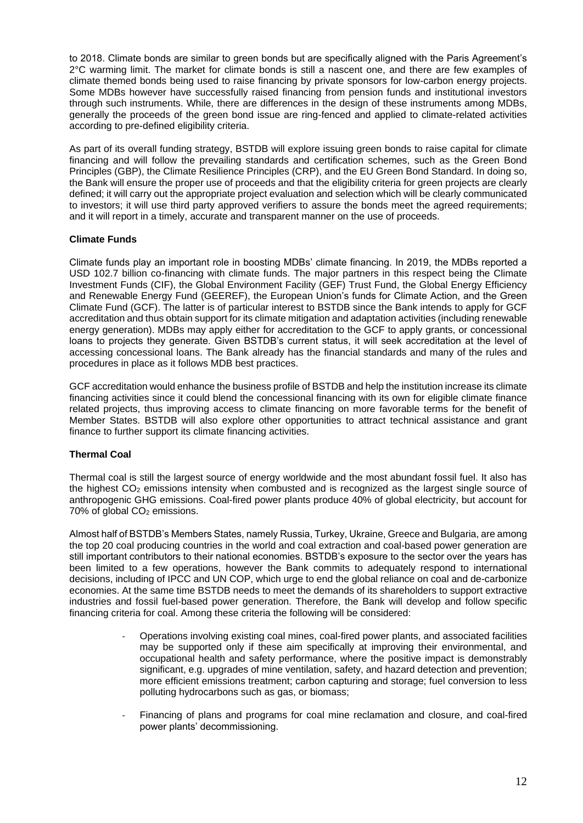to 2018. Climate bonds are similar to green bonds but are specifically aligned with the Paris Agreement's 2°C warming limit. The market for climate bonds is still a nascent one, and there are few examples of climate themed bonds being used to raise financing by private sponsors for low-carbon energy projects. Some MDBs however have successfully raised financing from pension funds and institutional investors through such instruments. While, there are differences in the design of these instruments among MDBs, generally the proceeds of the green bond issue are ring-fenced and applied to climate-related activities according to pre-defined eligibility criteria.

As part of its overall funding strategy, BSTDB will explore issuing green bonds to raise capital for climate financing and will follow the prevailing standards and certification schemes, such as the Green Bond Principles (GBP), the Climate Resilience Principles (CRP), and the EU Green Bond Standard. In doing so, the Bank will ensure the proper use of proceeds and that the eligibility criteria for green projects are clearly defined; it will carry out the appropriate project evaluation and selection which will be clearly communicated to investors; it will use third party approved verifiers to assure the bonds meet the agreed requirements; and it will report in a timely, accurate and transparent manner on the use of proceeds.

## **Climate Funds**

Climate funds play an important role in boosting MDBs' climate financing. In 2019, the MDBs reported a USD 102.7 billion co-financing with climate funds. The major partners in this respect being the Climate Investment Funds (CIF), the Global Environment Facility (GEF) Trust Fund, the Global Energy Efficiency and Renewable Energy Fund (GEEREF), the European Union's funds for Climate Action, and the Green Climate Fund (GCF). The latter is of particular interest to BSTDB since the Bank intends to apply for GCF accreditation and thus obtain support for its climate mitigation and adaptation activities (including renewable energy generation). MDBs may apply either for accreditation to the GCF to apply grants, or concessional loans to projects they generate. Given BSTDB's current status, it will seek accreditation at the level of accessing concessional loans. The Bank already has the financial standards and many of the rules and procedures in place as it follows MDB best practices.

GCF accreditation would enhance the business profile of BSTDB and help the institution increase its climate financing activities since it could blend the concessional financing with its own for eligible climate finance related projects, thus improving access to climate financing on more favorable terms for the benefit of Member States. BSTDB will also explore other opportunities to attract technical assistance and grant finance to further support its climate financing activities.

# **Thermal Coal**

Thermal coal is still the largest source of energy worldwide and the most abundant fossil fuel. It also has the highest  $CO<sub>2</sub>$  emissions intensity when combusted and is recognized as the largest single source of anthropogenic GHG emissions. Coal-fired power plants produce 40% of global electricity, but account for 70% of global CO<sub>2</sub> emissions.

Almost half of BSTDB's Members States, namely Russia, Turkey, Ukraine, Greece and Bulgaria, are among the top 20 coal producing countries in the world and coal extraction and coal-based power generation are still important contributors to their national economies. BSTDB's exposure to the sector over the years has been limited to a few operations, however the Bank commits to adequately respond to international decisions, including of IPCC and UN COP, which urge to end the global reliance on coal and de-carbonize economies. At the same time BSTDB needs to meet the demands of its shareholders to support extractive industries and fossil fuel-based power generation. Therefore, the Bank will develop and follow specific financing criteria for coal. Among these criteria the following will be considered:

- Operations involving existing coal mines, coal-fired power plants, and associated facilities may be supported only if these aim specifically at improving their environmental, and occupational health and safety performance, where the positive impact is demonstrably significant, e.g. upgrades of mine ventilation, safety, and hazard detection and prevention; more efficient emissions treatment; carbon capturing and storage; fuel conversion to less polluting hydrocarbons such as gas, or biomass;
- Financing of plans and programs for coal mine reclamation and closure, and coal-fired power plants' decommissioning.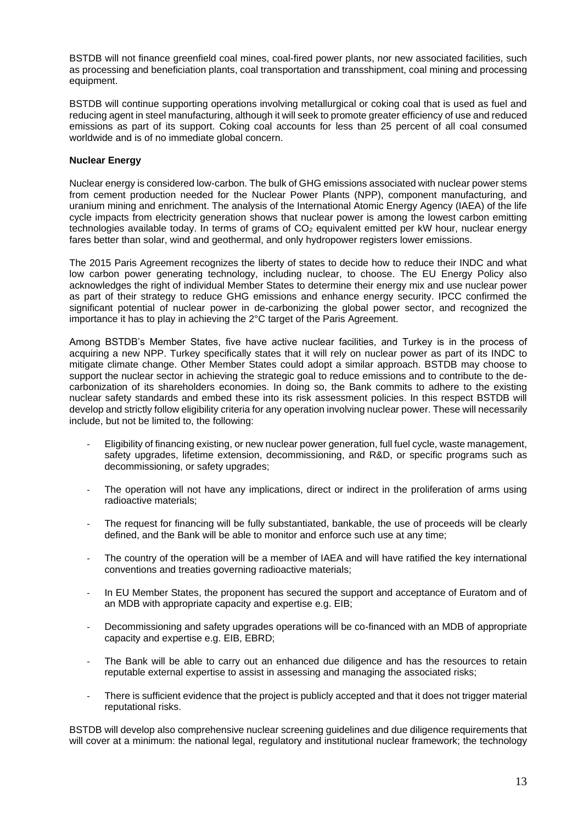BSTDB will not finance greenfield coal mines, coal-fired power plants, nor new associated facilities, such as processing and beneficiation plants, coal transportation and transshipment, coal mining and processing equipment.

BSTDB will continue supporting operations involving metallurgical or coking coal that is used as fuel and reducing agent in steel manufacturing, although it will seek to promote greater efficiency of use and reduced emissions as part of its support. Coking coal accounts for less than 25 percent of all coal consumed worldwide and is of no immediate global concern.

## **Nuclear Energy**

Nuclear energy is considered low-carbon. The bulk of GHG emissions associated with nuclear power stems from cement production needed for the Nuclear Power Plants (NPP), component manufacturing, and uranium mining and enrichment. The analysis of the International Atomic Energy Agency (IAEA) of the life cycle impacts from electricity generation shows that nuclear power is among the lowest carbon emitting technologies available today. In terms of grams of CO<sub>2</sub> equivalent emitted per kW hour, nuclear energy fares better than solar, wind and geothermal, and only hydropower registers lower emissions.

The 2015 Paris Agreement recognizes the liberty of states to decide how to reduce their INDC and what low carbon power generating technology, including nuclear, to choose. The EU Energy Policy also acknowledges the right of individual Member States to determine their energy mix and use nuclear power as part of their strategy to reduce GHG emissions and enhance energy security. IPCC confirmed the significant potential of nuclear power in de-carbonizing the global power sector, and recognized the importance it has to play in achieving the 2°C target of the Paris Agreement.

Among BSTDB's Member States, five have active nuclear facilities, and Turkey is in the process of acquiring a new NPP. Turkey specifically states that it will rely on nuclear power as part of its INDC to mitigate climate change. Other Member States could adopt a similar approach. BSTDB may choose to support the nuclear sector in achieving the strategic goal to reduce emissions and to contribute to the decarbonization of its shareholders economies. In doing so, the Bank commits to adhere to the existing nuclear safety standards and embed these into its risk assessment policies. In this respect BSTDB will develop and strictly follow eligibility criteria for any operation involving nuclear power. These will necessarily include, but not be limited to, the following:

- Eligibility of financing existing, or new nuclear power generation, full fuel cycle, waste management, safety upgrades, lifetime extension, decommissioning, and R&D, or specific programs such as decommissioning, or safety upgrades;
- The operation will not have any implications, direct or indirect in the proliferation of arms using radioactive materials;
- The request for financing will be fully substantiated, bankable, the use of proceeds will be clearly defined, and the Bank will be able to monitor and enforce such use at any time;
- The country of the operation will be a member of IAEA and will have ratified the key international conventions and treaties governing radioactive materials;
- In EU Member States, the proponent has secured the support and acceptance of Euratom and of an MDB with appropriate capacity and expertise e.g. EIB;
- Decommissioning and safety upgrades operations will be co-financed with an MDB of appropriate capacity and expertise e.g. EIB, EBRD;
- The Bank will be able to carry out an enhanced due diligence and has the resources to retain reputable external expertise to assist in assessing and managing the associated risks;
- There is sufficient evidence that the project is publicly accepted and that it does not trigger material reputational risks.

BSTDB will develop also comprehensive nuclear screening guidelines and due diligence requirements that will cover at a minimum: the national legal, regulatory and institutional nuclear framework; the technology